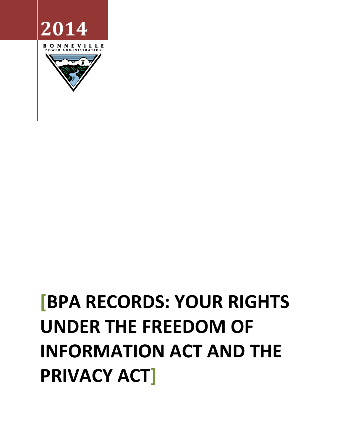# **[BPA RECORDS: YOUR RIGHTS UNDER THE FREEDOM OF INFORMATION ACT AND THE PRIVACY ACT]**

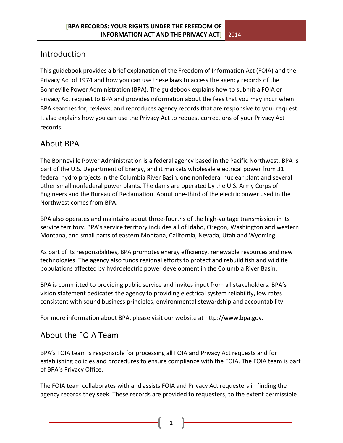# Introduction

This guidebook provides a brief explanation of the Freedom of Information Act (FOIA) and the Privacy Act of 1974 and how you can use these laws to access the agency records of the Bonneville Power Administration (BPA). The guidebook explains how to submit a FOIA or Privacy Act request to BPA and provides information about the fees that you may incur when BPA searches for, reviews, and reproduces agency records that are responsive to your request. It also explains how you can use the Privacy Act to request corrections of your Privacy Act records.

# About BPA

The Bonneville Power Administration is a federal agency based in the Pacific Northwest. BPA is part of the U.S. Department of Energy, and it markets wholesale electrical power from 31 federal hydro projects in the Columbia River Basin, one nonfederal nuclear plant and several other small nonfederal power plants. The dams are operated by the U.S. Army Corps of Engineers and the Bureau of Reclamation. About one-third of the electric power used in the Northwest comes from BPA.

BPA also operates and maintains about three-fourths of the high-voltage transmission in its service territory. BPA's service territory includes all of Idaho, Oregon, Washington and western Montana, and small parts of eastern Montana, California, Nevada, Utah and Wyoming.

As part of its responsibilities, BPA promotes energy efficiency, renewable resources and new technologies. The agency also funds regional efforts to protect and rebuild fish and wildlife populations affected by hydroelectric power development in the Columbia River Basin.

BPA is committed to providing public service and invites input from all stakeholders. BPA's vision statement dedicates the agency to providing electrical system reliability, low rates consistent with sound business principles, environmental stewardship and accountability.

For more information about BPA, please visit our website at http://www.bpa.gov.

# About the FOIA Team

BPA's FOIA team is responsible for processing all FOIA and Privacy Act requests and for establishing policies and procedures to ensure compliance with the FOIA. The FOIA team is part of BPA's Privacy Office.

The FOIA team collaborates with and assists FOIA and Privacy Act requesters in finding the agency records they seek. These records are provided to requesters, to the extent permissible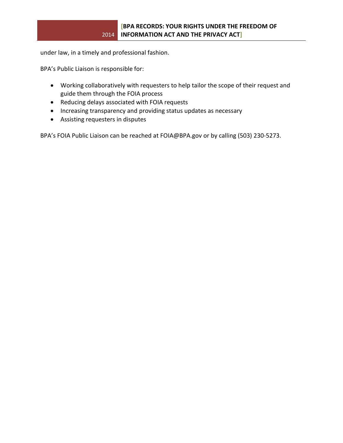under law, in a timely and professional fashion.

BPA's Public Liaison is responsible for:

- Working collaboratively with requesters to help tailor the scope of their request and guide them through the FOIA process
- Reducing delays associated with FOIA requests
- Increasing transparency and providing status updates as necessary
- Assisting requesters in disputes

BPA's FOIA Public Liaison can be reached at FOIA@BPA.gov or by calling (503) 230-5273.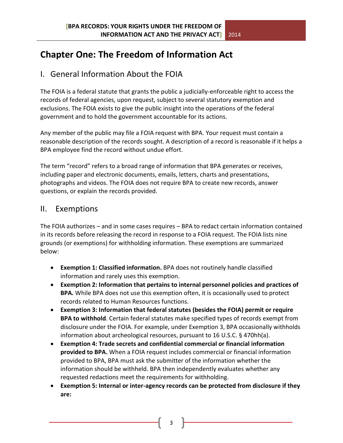# **Chapter One: The Freedom of Information Act**

# I. General Information About the FOIA

The FOIA is a federal statute that grants the public a judicially-enforceable right to access the records of federal agencies, upon request, subject to several statutory exemption and exclusions. The FOIA exists to give the public insight into the operations of the federal government and to hold the government accountable for its actions.

Any member of the public may file a FOIA request with BPA. Your request must contain a reasonable description of the records sought. A description of a record is reasonable if it helps a BPA employee find the record without undue effort.

The term "record" refers to a broad range of information that BPA generates or receives, including paper and electronic documents, emails, letters, charts and presentations, photographs and videos. The FOIA does not require BPA to create new records, answer questions, or explain the records provided.

## II. Exemptions

The FOIA authorizes – and in some cases requires – BPA to redact certain information contained in its records before releasing the record in response to a FOIA request. The FOIA lists nine grounds (or exemptions) for withholding information. These exemptions are summarized below:

- **Exemption 1: Classified information.** BPA does not routinely handle classified information and rarely uses this exemption.
- **Exemption 2: Information that pertains to internal personnel policies and practices of BPA.** While BPA does not use this exemption often, it is occasionally used to protect records related to Human Resources functions.
- **Exemption 3: Information that federal statutes (besides the FOIA) permit or require BPA to withhold**. Certain federal statutes make specified types of records exempt from disclosure under the FOIA. For example, under Exemption 3, BPA occasionally withholds information about archeological resources, pursuant to 16 U.S.C. § 470hh(a).
- **Exemption 4: Trade secrets and confidential commercial or financial information provided to BPA.** When a FOIA request includes commercial or financial information provided to BPA, BPA must ask the submitter of the information whether the information should be withheld. BPA then independently evaluates whether any requested redactions meet the requirements for withholding.
- **Exemption 5: Internal or inter-agency records can be protected from disclosure if they are:**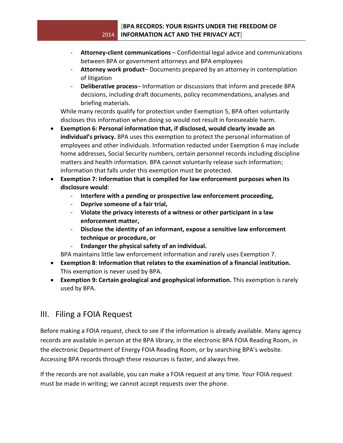#### 2014 **INFORMATION ACT AND THE PRIVACY ACT] [BPA RECORDS: YOUR RIGHTS UNDER THE FREEDOM OF**

- **Attorney-client communications** Confidential legal advice and communications between BPA or government attorneys and BPA employees
- **Attorney work product** Documents prepared by an attorney in contemplation of litigation
- **Deliberative process** Information or discussions that inform and precede BPA decisions, including draft documents, policy recommendations, analyses and briefing materials.

While many records qualify for protection under Exemption 5, BPA often voluntarily discloses this information when doing so would not result in foreseeable harm.

- **Exemption 6: Personal information that, if disclosed, would clearly invade an individual's privacy.** BPA uses this exemption to protect the personal information of employees and other individuals. Information redacted under Exemption 6 may include home addresses, Social Security numbers, certain personnel records including discipline matters and health information. BPA cannot voluntarily release such information; information that falls under this exemption must be protected.
- **Exemption 7: Information that is compiled for law enforcement purposes when its disclosure would**:
	- **Interfere with a pending or prospective law enforcement proceeding,**
	- **Deprive someone of a fair trial,**
	- **Violate the privacy interests of a witness or other participant in a law enforcement matter,**
	- **Disclose the identity of an informant, expose a sensitive law enforcement technique or procedure, or**
	- **Endanger the physical safety of an individual.**

BPA maintains little law enforcement information and rarely uses Exemption 7.

- **Exemption 8**: **Information that relates to the examination of a financial institution.**  This exemption is never used by BPA.
- **Exemption 9: Certain geological and geophysical information.** This exemption is rarely used by BPA.

# III. Filing a FOIA Request

Before making a FOIA request, check to see if the information is already available. Many agency records are available in person at the BPA library, in the electronic BPA FOIA Reading Room, in the electronic Department of Energy FOIA Reading Room, or by searching BPA's website. Accessing BPA records through these resources is faster, and always free.

If the records are not available, you can make a FOIA request at any time. Your FOIA request must be made in writing; we cannot accept requests over the phone.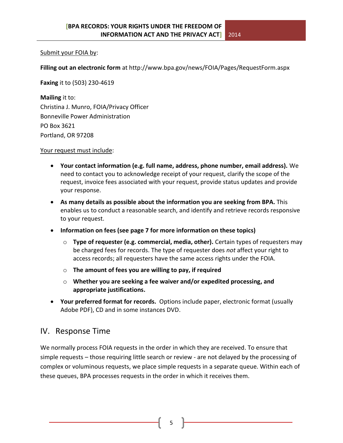#### Submit your FOIA by:

**Filling out an electronic form** at http://www.bpa.gov/news/FOIA/Pages/RequestForm.aspx

**Faxing** it to (503) 230-4619

**Mailing** it to: Christina J. Munro, FOIA/Privacy Officer Bonneville Power Administration PO Box 3621 Portland, OR 97208

Your request must include:

- **Your contact information (e.g. full name, address, phone number, email address).** We need to contact you to acknowledge receipt of your request, clarify the scope of the request, invoice fees associated with your request, provide status updates and provide your response.
- **As many details as possible about the information you are seeking from BPA.** This enables us to conduct a reasonable search, and identify and retrieve records responsive to your request.
- **Information on fees (see page 7 for more information on these topics)**
	- o **Type of requester (e.g. commercial, media, other).** Certain types of requesters may be charged fees for records. The type of requester does *not* affect your right to access records; all requesters have the same access rights under the FOIA.
	- o **The amount of fees you are willing to pay, if required**
	- o **Whether you are seeking a fee waiver and/or expedited processing, and appropriate justifications.**
- **Your preferred format for records.** Options include paper, electronic format (usually Adobe PDF), CD and in some instances DVD.

# IV. Response Time

We normally process FOIA requests in the order in which they are received. To ensure that simple requests – those requiring little search or review - are not delayed by the processing of complex or voluminous requests, we place simple requests in a separate queue. Within each of these queues, BPA processes requests in the order in which it receives them.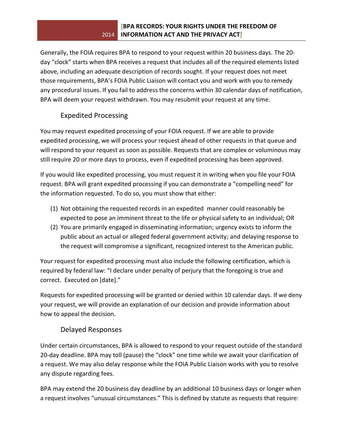#### 2014 **INFORMATION ACT AND THE PRIVACY ACT] [BPA RECORDS: YOUR RIGHTS UNDER THE FREEDOM OF**

Generally, the FOIA requires BPA to respond to your request within 20 business days. The 20 day "clock" starts when BPA receives a request that includes all of the required elements listed above, including an adequate description of records sought. If your request does not meet those requirements, BPA's FOIA Public Liaison will contact you and work with you to remedy any procedural issues. If you fail to address the concerns within 30 calendar days of notification, BPA will deem your request withdrawn. You may resubmit your request at any time.

## Expedited Processing

You may request expedited processing of your FOIA request. If we are able to provide expedited processing, we will process your request ahead of other requests in that queue and will respond to your request as soon as possible. Requests that are complex or voluminous may still require 20 or more days to process, even if expedited processing has been approved.

If you would like expedited processing, you must request it in writing when you file your FOIA request. BPA will grant expedited processing if you can demonstrate a "compelling need" for the information requested. To do so, you must show that either:

- (1) Not obtaining the requested records in an expedited manner could reasonably be expected to pose an imminent threat to the life or physical safety to an individual; OR
- (2) You are primarily engaged in disseminating information; urgency exists to inform the public about an actual or alleged federal government activity; and delaying response to the request will compromise a significant, recognized interest to the American public.

Your request for expedited processing must also include the following certification, which is required by federal law: "I declare under penalty of perjury that the foregoing is true and correct. Executed on [date]."

Requests for expedited processing will be granted or denied within 10 calendar days. If we deny your request, we will provide an explanation of our decision and provide information about how to appeal the decision.

#### Delayed Responses

Under certain circumstances, BPA is allowed to respond to your request outside of the standard 20-day deadline. BPA may toll (pause) the "clock" one time while we await your clarification of a request. We may also delay response while the FOIA Public Liaison works with you to resolve any dispute regarding fees.

BPA may extend the 20 business day deadline by an additional 10 business days or longer when a request involves "unusual circumstances." This is defined by statute as requests that require: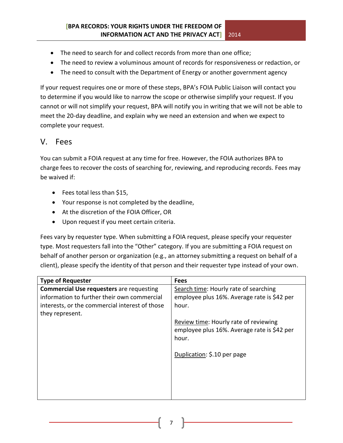- The need to search for and collect records from more than one office;
- The need to review a voluminous amount of records for responsiveness or redaction, or
- The need to consult with the Department of Energy or another government agency

If your request requires one or more of these steps, BPA's FOIA Public Liaison will contact you to determine if you would like to narrow the scope or otherwise simplify your request. If you cannot or will not simplify your request, BPA will notify you in writing that we will not be able to meet the 20-day deadline, and explain why we need an extension and when we expect to complete your request.

# V. Fees

You can submit a FOIA request at any time for free. However, the FOIA authorizes BPA to charge fees to recover the costs of searching for, reviewing, and reproducing records. Fees may be waived if:

- Fees total less than \$15,
- Your response is not completed by the deadline,
- At the discretion of the FOIA Officer, OR
- Upon request if you meet certain criteria.

Fees vary by requester type. When submitting a FOIA request, please specify your requester type. Most requesters fall into the "Other" category. If you are submitting a FOIA request on behalf of another person or organization (e.g., an attorney submitting a request on behalf of a client), please specify the identity of that person and their requester type instead of your own.

| <b>Type of Requester</b>                                                                                                                                            | <b>Fees</b>                                                                                                                                                                                                                   |
|---------------------------------------------------------------------------------------------------------------------------------------------------------------------|-------------------------------------------------------------------------------------------------------------------------------------------------------------------------------------------------------------------------------|
| <b>Commercial Use requesters</b> are requesting<br>information to further their own commercial<br>interests, or the commercial interest of those<br>they represent. | Search time: Hourly rate of searching<br>employee plus 16%. Average rate is \$42 per<br>hour.<br>Review time: Hourly rate of reviewing<br>employee plus 16%. Average rate is \$42 per<br>hour.<br>Duplication: \$.10 per page |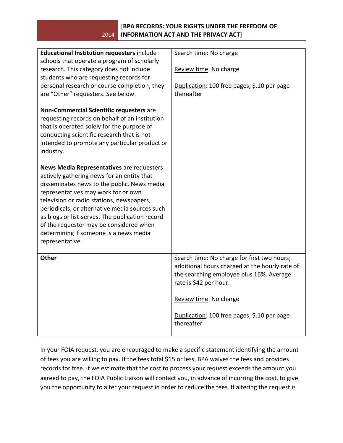#### 2014 **INFORMATION ACT AND THE PRIVACY ACT] [BPA RECORDS: YOUR RIGHTS UNDER THE FREEDOM OF**

| Educational Institution requesters include<br>schools that operate a program of scholarly<br>research. This category does not include<br>students who are requesting records for<br>personal research or course completion; they<br>are "Other" requesters. See below.<br>Non-Commercial Scientific requesters are<br>requesting records on behalf of an institution<br>that is operated solely for the purpose of<br>conducting scientific research that is not<br>intended to promote any particular product or<br>industry. | Search time: No charge<br>Review time: No charge<br>Duplication: 100 free pages, \$.10 per page<br>thereafter                                                                                                                                              |
|--------------------------------------------------------------------------------------------------------------------------------------------------------------------------------------------------------------------------------------------------------------------------------------------------------------------------------------------------------------------------------------------------------------------------------------------------------------------------------------------------------------------------------|------------------------------------------------------------------------------------------------------------------------------------------------------------------------------------------------------------------------------------------------------------|
| News Media Representatives are requesters<br>actively gathering news for an entity that<br>disseminates news to the public. News media<br>representatives may work for or own<br>television or radio stations, newspapers,<br>periodicals, or alternative media sources such<br>as blogs or list-serves. The publication record<br>of the requester may be considered when<br>determining if someone is a news media<br>representative.                                                                                        |                                                                                                                                                                                                                                                            |
| Other                                                                                                                                                                                                                                                                                                                                                                                                                                                                                                                          | Search time: No charge for first two hours;<br>additional hours charged at the hourly rate of<br>the searching employee plus 16%. Average<br>rate is \$42 per hour.<br>Review time: No charge<br>Duplication: 100 free pages, \$.10 per page<br>thereafter |

In your FOIA request, you are encouraged to make a specific statement identifying the amount of fees you are willing to pay. If the fees total \$15 or less, BPA waives the fees and provides records for free. If we estimate that the cost to process your request exceeds the amount you agreed to pay, the FOIA Public Liaison will contact you, in advance of incurring the cost, to give you the opportunity to alter your request in order to reduce the fees. If altering the request is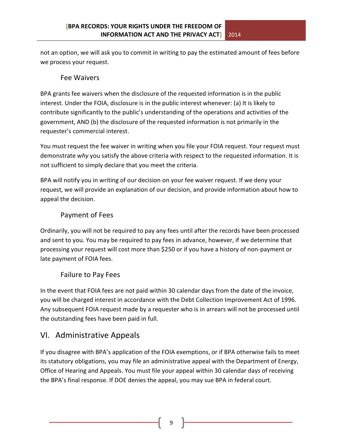not an option, we will ask you to commit in writing to pay the estimated amount of fees before we process your request.

#### Fee Waivers

BPA grants fee waivers when the disclosure of the requested information is in the public interest. Under the FOIA, disclosure is in the public interest whenever: (a) It is likely to contribute significantly to the public's understanding of the operations and activities of the government, AND (b) the disclosure of the requested information is not primarily in the requester's commercial interest.

You must request the fee waiver in writing when you file your FOIA request. Your request must demonstrate *why* you satisfy the above criteria with respect to the requested information. It is not sufficient to simply declare that you meet the criteria.

BPA will notify you in writing of our decision on your fee waiver request. If we deny your request, we will provide an explanation of our decision, and provide information about how to appeal the decision.

# Payment of Fees

Ordinarily, you will not be required to pay any fees until after the records have been processed and sent to you. You may be required to pay fees in advance, however, if we determine that processing your request will cost more than \$250 or if you have a history of non-payment or late payment of FOIA fees.

# Failure to Pay Fees

In the event that FOIA fees are not paid within 30 calendar days from the date of the invoice, you will be charged interest in accordance with the Debt Collection Improvement Act of 1996. Any subsequent FOIA request made by a requester who is in arrears will not be processed until the outstanding fees have been paid in full.

# VI. Administrative Appeals

If you disagree with BPA's application of the FOIA exemptions, or if BPA otherwise fails to meet its statutory obligations, you may file an administrative appeal with the Department of Energy, Office of Hearing and Appeals. You must file your appeal within 30 calendar days of receiving the BPA's final response. If DOE denies the appeal, you may sue BPA in federal court.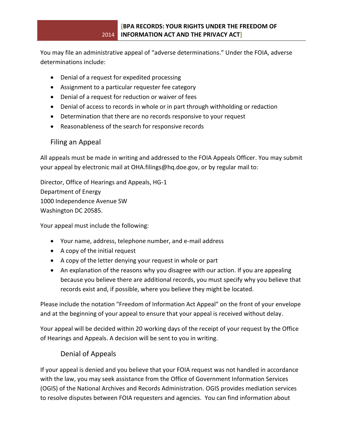You may file an administrative appeal of "adverse determinations." Under the FOIA, adverse determinations include:

- Denial of a request for expedited processing
- Assignment to a particular requester fee category
- Denial of a request for reduction or waiver of fees
- Denial of access to records in whole or in part through withholding or redaction
- Determination that there are no records responsive to your request
- Reasonableness of the search for responsive records

#### Filing an Appeal

All appeals must be made in writing and addressed to the FOIA Appeals Officer. You may submit your appeal by electronic mail at [OHA.filings@hq.doe.gov,](mailto:OHA.filings@hq.doe.gov) or by regular mail to:

Director, Office of Hearings and Appeals, HG-1 Department of Energy 1000 Independence Avenue SW Washington DC 20585.

Your appeal must include the following:

- Your name, address, telephone number, and e-mail address
- A copy of the initial request
- A copy of the letter denying your request in whole or part
- An explanation of the reasons why you disagree with our action. If you are appealing because you believe there are additional records, you must specify why you believe that records exist and, if possible, where you believe they might be located.

Please include the notation "Freedom of Information Act Appeal" on the front of your envelope and at the beginning of your appeal to ensure that your appeal is received without delay.

Your appeal will be decided within 20 working days of the receipt of your request by the Office of Hearings and Appeals. A decision will be sent to you in writing.

#### Denial of Appeals

If your appeal is denied and you believe that your FOIA request was not handled in accordance with the law, you may seek assistance from the Office of Government Information Services (OGIS) of the National Archives and Records Administration. OGIS provides mediation services to resolve disputes between FOIA requesters and agencies. You can find information about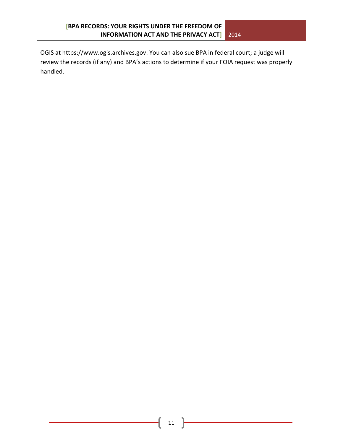OGIS at [https://www.ogis.archives.gov.](https://www.ogis.archives.gov/site3.aspx) You can also sue BPA in federal court; a judge will review the records (if any) and BPA's actions to determine if your FOIA request was properly handled.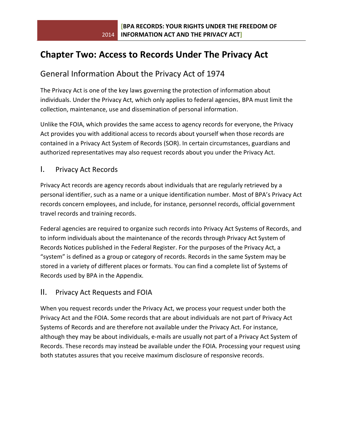# **Chapter Two: Access to Records Under The Privacy Act**

# General Information About the Privacy Act of 1974

The Privacy Act is one of the key laws governing the protection of information about individuals. Under the Privacy Act, which only applies to federal agencies, BPA must limit the collection, maintenance, use and dissemination of personal information.

Unlike the FOIA, which provides the same access to agency records for everyone, the Privacy Act provides you with additional access to records about yourself when those records are contained in a Privacy Act System of Records (SOR). In certain circumstances, guardians and authorized representatives may also request records about you under the Privacy Act.

#### I. Privacy Act Records

Privacy Act records are agency records about individuals that are regularly retrieved by a personal identifier, such as a name or a unique identification number. Most of BPA's Privacy Act records concern employees, and include, for instance, personnel records, official government travel records and training records.

Federal agencies are required to organize such records into Privacy Act Systems of Records, and to inform individuals about the maintenance of the records through Privacy Act System of Records Notices published in the Federal Register. For the purposes of the Privacy Act, a "system" is defined as a group or category of records. Records in the same System may be stored in a variety of different places or formats. You can find a complete list of Systems of Records used by BPA in the Appendix.

#### II. Privacy Act Requests and FOIA

When you request records under the Privacy Act, we process your request under both the Privacy Act and the FOIA. Some records that are about individuals are not part of Privacy Act Systems of Records and are therefore not available under the Privacy Act. For instance, although they may be about individuals, e-mails are usually not part of a Privacy Act System of Records. These records may instead be available under the FOIA. Processing your request using both statutes assures that you receive maximum disclosure of responsive records.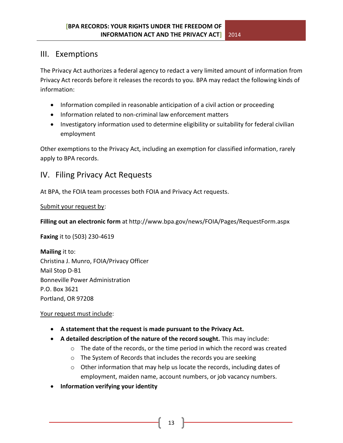# III. Exemptions

The Privacy Act authorizes a federal agency to redact a very limited amount of information from Privacy Act records before it releases the records to you. BPA may redact the following kinds of information:

- Information compiled in reasonable anticipation of a civil action or proceeding
- Information related to non-criminal law enforcement matters
- Investigatory information used to determine eligibility or suitability for federal civilian employment

Other exemptions to the Privacy Act, including an exemption for classified information, rarely apply to BPA records.

# IV. Filing Privacy Act Requests

At BPA, the FOIA team processes both FOIA and Privacy Act requests.

Submit your request by:

**Filling out an electronic form** at http://www.bpa.gov/news/FOIA/Pages/RequestForm.aspx

**Faxing** it to (503) 230-4619

**Mailing** it to: Christina J. Munro, FOIA/Privacy Officer Mail Stop D-B1 Bonneville Power Administration P.O. Box 3621 Portland, OR 97208

#### Your request must include:

- **A statement that the request is made pursuant to the Privacy Act.**
- **A detailed description of the nature of the record sought.** This may include:
	- $\circ$  The date of the records, or the time period in which the record was created
	- o The System of Records that includes the records you are seeking
	- o Other information that may help us locate the records, including dates of employment, maiden name, account numbers, or job vacancy numbers.
- **Information verifying your identity**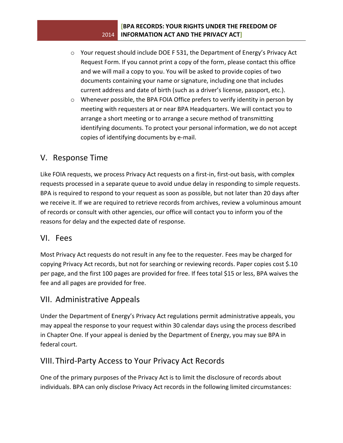- o Your request should include DOE F 531, the Department of Energy's Privacy Act Request Form. If you cannot print a copy of the form, please contact this office and we will mail a copy to you. You will be asked to provide copies of two documents containing your name or signature, including one that includes current address and date of birth (such as a driver's license, passport, etc.).
- o Whenever possible, the BPA FOIA Office prefers to verify identity in person by meeting with requesters at or near BPA Headquarters. We will contact you to arrange a short meeting or to arrange a secure method of transmitting identifying documents. To protect your personal information, we do not accept copies of identifying documents by e-mail.

# V. Response Time

Like FOIA requests, we process Privacy Act requests on a first-in, first-out basis, with complex requests processed in a separate queue to avoid undue delay in responding to simple requests. BPA is required to respond to your request as soon as possible, but not later than 20 days after we receive it. If we are required to retrieve records from archives, review a voluminous amount of records or consult with other agencies, our office will contact you to inform you of the reasons for delay and the expected date of response.

# VI. Fees

Most Privacy Act requests do not result in any fee to the requester. Fees may be charged for copying Privacy Act records, but not for searching or reviewing records. Paper copies cost \$.10 per page, and the first 100 pages are provided for free. If fees total \$15 or less, BPA waives the fee and all pages are provided for free.

# VII. Administrative Appeals

Under the Department of Energy's Privacy Act regulations permit administrative appeals, you may appeal the response to your request within 30 calendar days using the process described in Chapter One. If your appeal is denied by the Department of Energy, you may sue BPA in federal court.

# VIII.Third-Party Access to Your Privacy Act Records

One of the primary purposes of the Privacy Act is to limit the disclosure of records about individuals. BPA can only disclose Privacy Act records in the following limited circumstances: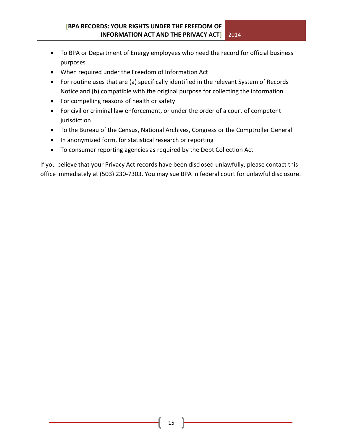- To BPA or Department of Energy employees who need the record for official business purposes
- When required under the Freedom of Information Act
- For routine uses that are (a) specifically identified in the relevant System of Records Notice and (b) compatible with the original purpose for collecting the information
- For compelling reasons of health or safety
- For civil or criminal law enforcement, or under the order of a court of competent jurisdiction
- To the Bureau of the Census, National Archives, Congress or the Comptroller General
- In anonymized form, for statistical research or reporting
- To consumer reporting agencies as required by the Debt Collection Act

If you believe that your Privacy Act records have been disclosed unlawfully, please contact this office immediately at (503) 230-7303. You may sue BPA in federal court for unlawful disclosure.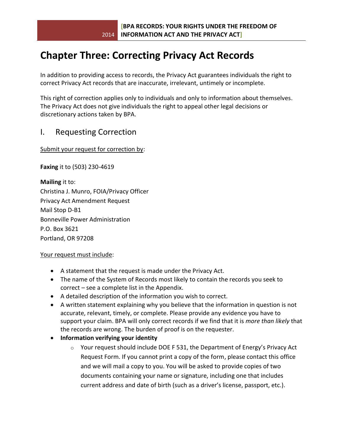# **Chapter Three: Correcting Privacy Act Records**

In addition to providing access to records, the Privacy Act guarantees individuals the right to correct Privacy Act records that are inaccurate, irrelevant, untimely or incomplete.

This right of correction applies only to individuals and only to information about themselves. The Privacy Act does not give individuals the right to appeal other legal decisions or discretionary actions taken by BPA.

# I. Requesting Correction

Submit your request for correction by:

**Faxing** it to (503) 230-4619

**Mailing** it to: Christina J. Munro, FOIA/Privacy Officer Privacy Act Amendment Request Mail Stop D-B1 Bonneville Power Administration P.O. Box 3621 Portland, OR 97208

#### Your request must include:

- A statement that the request is made under the Privacy Act.
- The name of the System of Records most likely to contain the records you seek to correct – see a complete list in the Appendix.
- A detailed description of the information you wish to correct.
- A written statement explaining why you believe that the information in question is not accurate, relevant, timely, or complete. Please provide any evidence you have to support your claim. BPA will only correct records if we find that it is *more than likely* that the records are wrong. The burden of proof is on the requester.
- **Information verifying your identity** 
	- o Your request should include DOE F 531, the Department of Energy's Privacy Act Request Form. If you cannot print a copy of the form, please contact this office and we will mail a copy to you. You will be asked to provide copies of two documents containing your name or signature, including one that includes current address and date of birth (such as a driver's license, passport, etc.).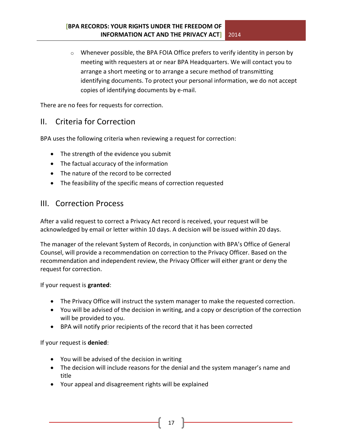o Whenever possible, the BPA FOIA Office prefers to verify identity in person by meeting with requesters at or near BPA Headquarters. We will contact you to arrange a short meeting or to arrange a secure method of transmitting identifying documents. To protect your personal information, we do not accept copies of identifying documents by e-mail.

There are no fees for requests for correction.

# II. Criteria for Correction

BPA uses the following criteria when reviewing a request for correction:

- The strength of the evidence you submit
- The factual accuracy of the information
- The nature of the record to be corrected
- The feasibility of the specific means of correction requested

## III. Correction Process

After a valid request to correct a Privacy Act record is received, your request will be acknowledged by email or letter within 10 days. A decision will be issued within 20 days.

The manager of the relevant System of Records, in conjunction with BPA's Office of General Counsel, will provide a recommendation on correction to the Privacy Officer. Based on the recommendation and independent review, the Privacy Officer will either grant or deny the request for correction.

If your request is **granted**:

- The Privacy Office will instruct the system manager to make the requested correction.
- You will be advised of the decision in writing, and a copy or description of the correction will be provided to you.
- BPA will notify prior recipients of the record that it has been corrected

If your request is **denied**:

- You will be advised of the decision in writing
- The decision will include reasons for the denial and the system manager's name and title
- Your appeal and disagreement rights will be explained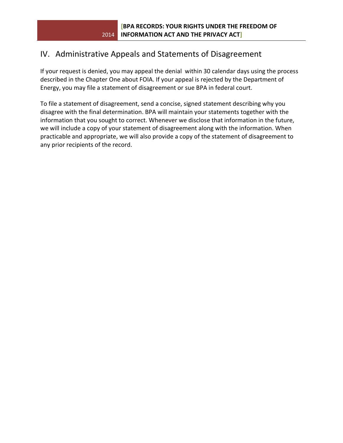# IV. Administrative Appeals and Statements of Disagreement

If your request is denied, you may appeal the denial within 30 calendar days using the process described in the Chapter One about FOIA. If your appeal is rejected by the Department of Energy, you may file a statement of disagreement or sue BPA in federal court.

To file a statement of disagreement, send a concise, signed statement describing why you disagree with the final determination. BPA will maintain your statements together with the information that you sought to correct. Whenever we disclose that information in the future, we will include a copy of your statement of disagreement along with the information. When practicable and appropriate, we will also provide a copy of the statement of disagreement to any prior recipients of the record.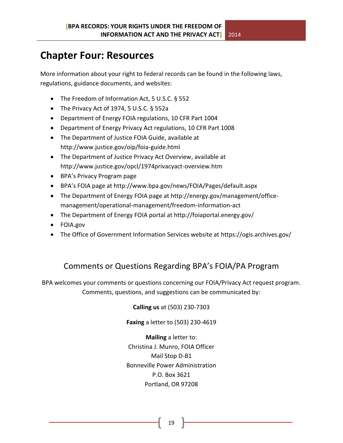# **Chapter Four: Resources**

More information about your right to federal records can be found in the following laws, regulations, guidance documents, and websites:

- The Freedom of Information Act, 5 U.S.C. § 552
- The Privacy Act of 1974, 5 U.S.C. § 552a
- Department of Energy FOIA regulations, 10 CFR Part 1004
- Department of Energy Privacy Act regulations, 10 CFR Part 1008
- The Department of Justice FOIA Guide, available at http://www.justice.gov/oip/foia-guide.html
- The Department of Justice Privacy Act Overview, available at http://www.justice.gov/opcl/1974privacyact-overview.htm
- BPA's Privacy Program page
- BPA's FOIA page at http://www.bpa.gov/news/FOIA/Pages/default.aspx
- The Department of Energy FOIA page at http://energy.gov/management/officemanagement/operational-management/freedom-information-act
- The Department of Energy FOIA portal at http://foiaportal.energy.gov/
- FOIA.gov
- The Office of Government Information Services website at https://ogis.archives.gov/

# Comments or Questions Regarding BPA's FOIA/PA Program

BPA welcomes your comments or questions concerning our FOIA/Privacy Act request program. Comments, questions, and suggestions can be communicated by:

**Calling us** at (503) 230-7303

**Faxing** a letter to (503) 230-4619

**Mailing** a letter to: Christina J. Munro, FOIA Officer Mail Stop D-B1 Bonneville Power Administration P.O. Box 3621 Portland, OR 97208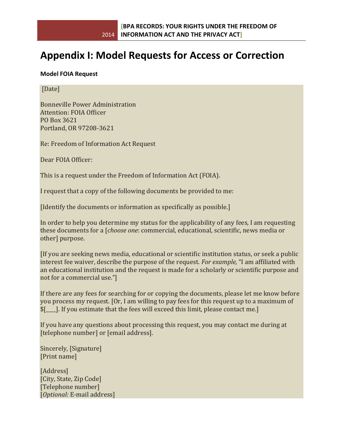# **Appendix I: Model Requests for Access or Correction**

#### **Model FOIA Request**

[Date]

Bonneville Power Administration Attention: FOIA Officer PO Box 3621 Portland, OR 97208-3621

Re: Freedom of Information Act Request

Dear FOIA Officer:

This is a request under the Freedom of Information Act (FOIA).

I request that a copy of the following documents be provided to me:

[Identify the documents or information as specifically as possible.]

In order to help you determine my status for the applicability of any fees, I am requesting these documents for a [*choose one*: commercial, educational, scientific, news media or other] purpose.

[If you are seeking news media, educational or scientific institution status, or seek a public interest fee waiver, describe the purpose of the request. *For example,* "I am affiliated with an educational institution and the request is made for a scholarly or scientific purpose and not for a commercial use."]

If there are any fees for searching for or copying the documents, please let me know before you process my request. [Or, I am willing to pay fees for this request up to a maximum of \$[\_\_\_\_]. If you estimate that the fees will exceed this limit, please contact me.]

If you have any questions about processing this request, you may contact me during at [telephone number] or [email address].

Sincerely, [Signature] [Print name]

[Address] [City, State, Zip Code] [Telephone number] [*Optional:* E-mail address]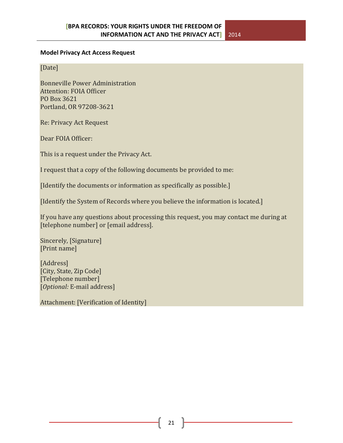#### **Model Privacy Act Access Request**

[Date]

Bonneville Power Administration Attention: FOIA Officer PO Box 3621 Portland, OR 97208-3621

Re: Privacy Act Request

Dear FOIA Officer:

This is a request under the Privacy Act.

I request that a copy of the following documents be provided to me:

[Identify the documents or information as specifically as possible.]

[Identify the System of Records where you believe the information is located.]

If you have any questions about processing this request, you may contact me during at [telephone number] or [email address].

Sincerely, [Signature] [Print name]

[Address] [City, State, Zip Code] [Telephone number] [*Optional:* E-mail address]

Attachment: [Verification of Identity]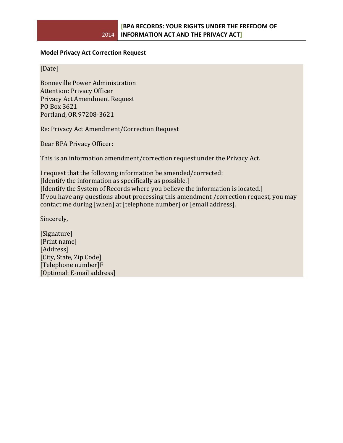#### **Model Privacy Act Correction Request**

[Date]

Bonneville Power Administration Attention: Privacy Officer Privacy Act Amendment Request PO Box 3621 Portland, OR 97208-3621

Re: Privacy Act Amendment/Correction Request

Dear BPA Privacy Officer:

This is an information amendment/correction request under the Privacy Act.

I request that the following information be amended/corrected: [Identify the information as specifically as possible.] [Identify the System of Records where you believe the information is located.] If you have any questions about processing this amendment /correction request, you may contact me during [when] at [telephone number] or [email address].

Sincerely,

[Signature] [Print name] [Address] [City, State, Zip Code] [Telephone number]F [Optional: E-mail address]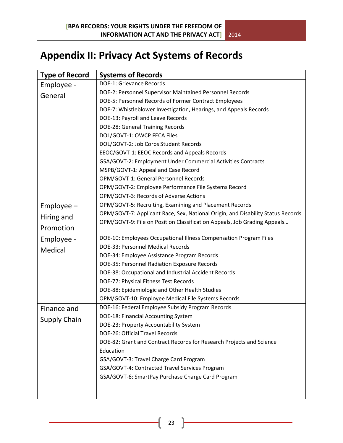# **Appendix II: Privacy Act Systems of Records**

| <b>Type of Record</b> | <b>Systems of Records</b>                                                       |
|-----------------------|---------------------------------------------------------------------------------|
| Employee -            | <b>DOE-1: Grievance Records</b>                                                 |
| General               | DOE-2: Personnel Supervisor Maintained Personnel Records                        |
|                       | DOE-5: Personnel Records of Former Contract Employees                           |
|                       | DOE-7: Whistleblower Investigation, Hearings, and Appeals Records               |
|                       | DOE-13: Payroll and Leave Records                                               |
|                       | DOE-28: General Training Records                                                |
|                       | DOL/GOVT-1: OWCP FECA Files                                                     |
|                       | DOL/GOVT-2: Job Corps Student Records                                           |
|                       | EEOC/GOVT-1: EEOC Records and Appeals Records                                   |
|                       | GSA/GOVT-2: Employment Under Commercial Activities Contracts                    |
|                       | MSPB/GOVT-1: Appeal and Case Record                                             |
|                       | OPM/GOVT-1: General Personnel Records                                           |
|                       | OPM/GOVT-2: Employee Performance File Systems Record                            |
|                       | OPM/GOVT-3: Records of Adverse Actions                                          |
| $Employee -$          | OPM/GOVT-5: Recruiting, Examining and Placement Records                         |
| Hiring and            | OPM/GOVT-7: Applicant Race, Sex, National Origin, and Disability Status Records |
|                       | OPM/GOVT-9: File on Position Classification Appeals, Job Grading Appeals        |
| Promotion             |                                                                                 |
| Employee -            | DOE-10: Employees Occupational Illness Compensation Program Files               |
| Medical               | DOE-33: Personnel Medical Records                                               |
|                       | DOE-34: Employee Assistance Program Records                                     |
|                       | DOE-35: Personnel Radiation Exposure Records                                    |
|                       | DOE-38: Occupational and Industrial Accident Records                            |
|                       | DOE-77: Physical Fitness Test Records                                           |
|                       | DOE-88: Epidemiologic and Other Health Studies                                  |
|                       | OPM/GOVT-10: Employee Medical File Systems Records                              |
| Finance and           | DOE-16: Federal Employee Subsidy Program Records                                |
| <b>Supply Chain</b>   | DOE-18: Financial Accounting System                                             |
|                       | DOE-23: Property Accountability System                                          |
|                       | DOE-26: Official Travel Records                                                 |
|                       | DOE-82: Grant and Contract Records for Research Projects and Science            |
|                       | Education                                                                       |
|                       | GSA/GOVT-3: Travel Charge Card Program                                          |
|                       | GSA/GOVT-4: Contracted Travel Services Program                                  |
|                       | GSA/GOVT-6: SmartPay Purchase Charge Card Program                               |
|                       |                                                                                 |
|                       |                                                                                 |